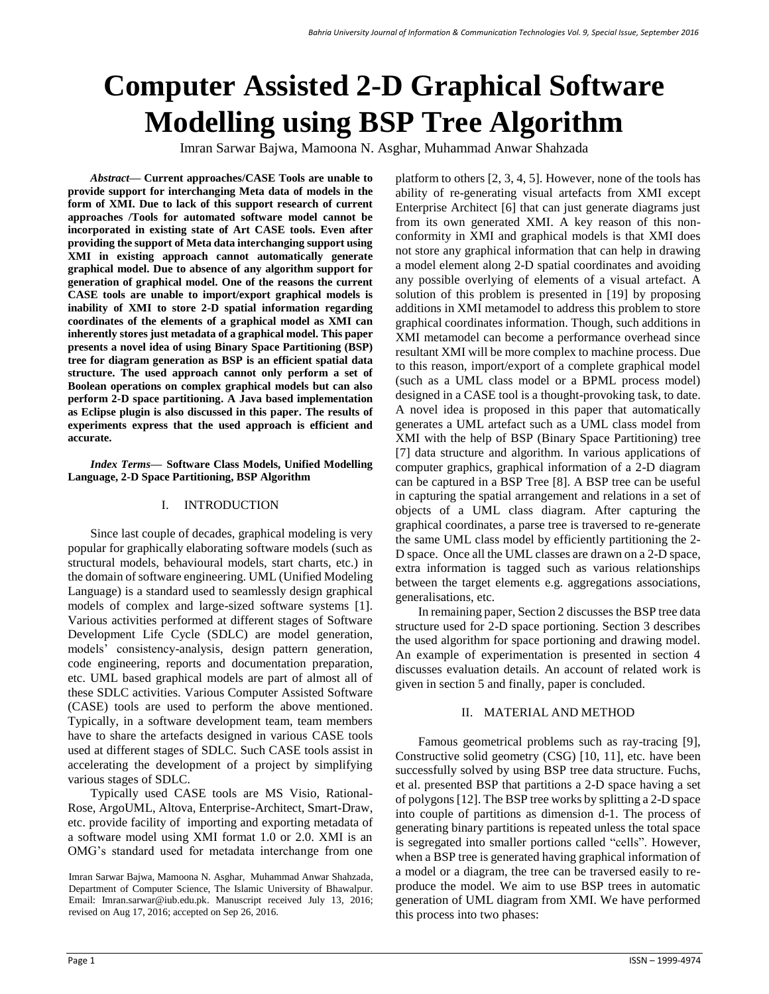# **Computer Assisted 2-D Graphical Software Modelling using BSP Tree Algorithm**

Imran Sarwar Bajwa, Mamoona N. Asghar, Muhammad Anwar Shahzada

*Abstract***— Current approaches/CASE Tools are unable to provide support for interchanging Meta data of models in the form of XMI. Due to lack of this support research of current approaches /Tools for automated software model cannot be incorporated in existing state of Art CASE tools. Even after providing the support of Meta data interchanging support using XMI in existing approach cannot automatically generate graphical model. Due to absence of any algorithm support for generation of graphical model. One of the reasons the current CASE tools are unable to import/export graphical models is inability of XMI to store 2-D spatial information regarding coordinates of the elements of a graphical model as XMI can inherently stores just metadata of a graphical model. This paper presents a novel idea of using Binary Space Partitioning (BSP) tree for diagram generation as BSP is an efficient spatial data structure. The used approach cannot only perform a set of Boolean operations on complex graphical models but can also perform 2-D space partitioning. A Java based implementation as Eclipse plugin is also discussed in this paper. The results of experiments express that the used approach is efficient and accurate.**

*Index Terms***— Software Class Models, Unified Modelling Language, 2-D Space Partitioning, BSP Algorithm**

# I. INTRODUCTION

Since last couple of decades, graphical modeling is very popular for graphically elaborating software models (such as structural models, behavioural models, start charts, etc.) in the domain of software engineering. UML (Unified Modeling Language) is a standard used to seamlessly design graphical models of complex and large-sized software systems [1]. Various activities performed at different stages of Software Development Life Cycle (SDLC) are model generation, models' consistency-analysis, design pattern generation, code engineering, reports and documentation preparation, etc. UML based graphical models are part of almost all of these SDLC activities. Various Computer Assisted Software (CASE) tools are used to perform the above mentioned. Typically, in a software development team, team members have to share the artefacts designed in various CASE tools used at different stages of SDLC. Such CASE tools assist in accelerating the development of a project by simplifying various stages of SDLC.

Typically used CASE tools are MS Visio, Rational-Rose, ArgoUML, Altova, Enterprise-Architect, Smart-Draw, etc. provide facility of importing and exporting metadata of a software model using XMI format 1.0 or 2.0. XMI is an OMG's standard used for metadata interchange from one platform to others [2, 3, 4, 5]. However, none of the tools has ability of re-generating visual artefacts from XMI except Enterprise Architect [6] that can just generate diagrams just from its own generated XMI. A key reason of this nonconformity in XMI and graphical models is that XMI does not store any graphical information that can help in drawing a model element along 2-D spatial coordinates and avoiding any possible overlying of elements of a visual artefact. A solution of this problem is presented in [19] by proposing additions in XMI metamodel to address this problem to store graphical coordinates information. Though, such additions in XMI metamodel can become a performance overhead since resultant XMI will be more complex to machine process. Due to this reason, import/export of a complete graphical model (such as a UML class model or a BPML process model) designed in a CASE tool is a thought-provoking task, to date. A novel idea is proposed in this paper that automatically generates a UML artefact such as a UML class model from XMI with the help of BSP (Binary Space Partitioning) tree [7] data structure and algorithm. In various applications of computer graphics, graphical information of a 2-D diagram can be captured in a BSP Tree [8]. A BSP tree can be useful in capturing the spatial arrangement and relations in a set of objects of a UML class diagram. After capturing the graphical coordinates, a parse tree is traversed to re-generate the same UML class model by efficiently partitioning the 2- D space. Once all the UML classes are drawn on a 2-D space, extra information is tagged such as various relationships between the target elements e.g. aggregations associations, generalisations, etc.

In remaining paper, Section 2 discusses the BSP tree data structure used for 2-D space portioning. Section 3 describes the used algorithm for space portioning and drawing model. An example of experimentation is presented in section 4 discusses evaluation details. An account of related work is given in section 5 and finally, paper is concluded.

# II. MATERIAL AND METHOD

Famous geometrical problems such as ray-tracing [9], Constructive solid geometry (CSG) [10, 11], etc. have been successfully solved by using BSP tree data structure. Fuchs, et al. presented BSP that partitions a 2-D space having a set of polygons [\[12\].](http://www.cs.buffalo.edu/~whitley/research/graphics/bsp/bsp_bib.html#fkn:on-visible-surface) The BSP tree works by splitting a 2-D space into couple of partitions as dimension d-1. The process of generating binary partitions is repeated unless the total space is segregated into smaller portions called "cells". However, when a BSP tree is generated having graphical information of a model or a diagram, the tree can be traversed easily to reproduce the model. We aim to use BSP trees in automatic generation of UML diagram from XMI. We have performed this process into two phases:

Imran Sarwar Bajwa, Mamoona N. Asghar, Muhammad Anwar Shahzada, Department of Computer Science, The Islamic University of Bhawalpur. Email: [Imran.sarwar@iub.edu.pk.](mailto:Imran.sarwar@iub.edu.pk) Manuscript received July 13, 2016; revised on Aug 17, 2016; accepted on Sep 26, 2016.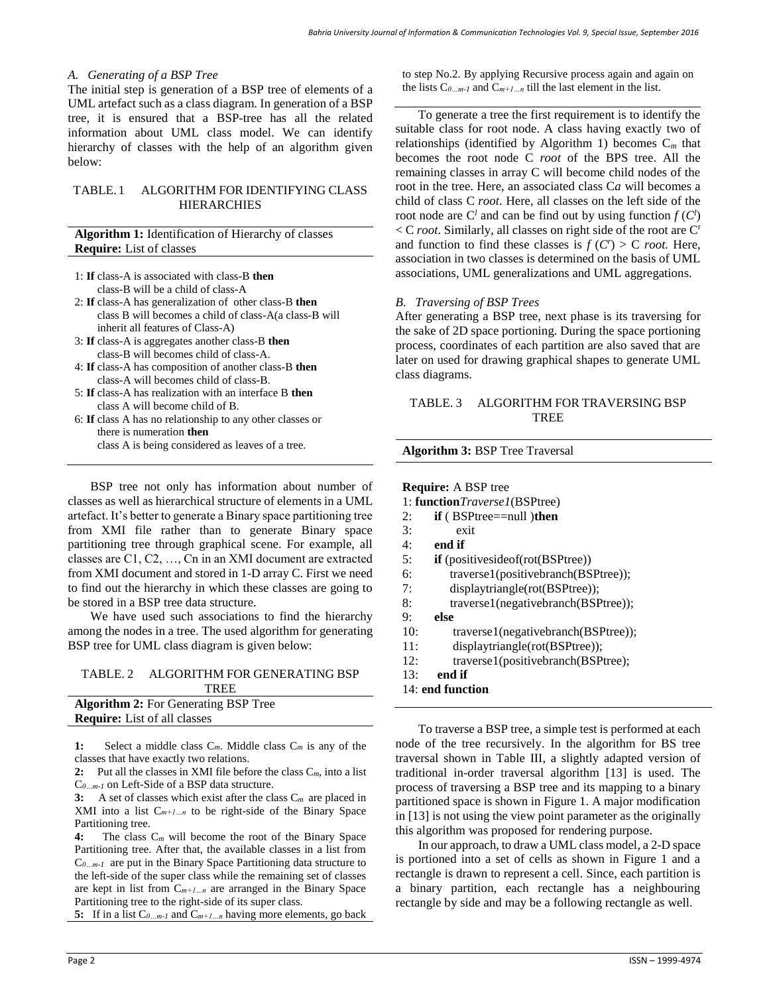#### *A. Generating of a BSP Tree*

The initial step is generation of a BSP tree of elements of a UML artefact such as a class diagram. In generation of a BSP tree, it is ensured that a BSP-tree has all the related information about UML class model. We can identify hierarchy of classes with the help of an algorithm given below:

# TABLE. 1 ALGORITHM FOR IDENTIFYING CLASS **HIERARCHIES**

# **Algorithm 1:** Identification of Hierarchy of classes **Require:** List of classes

- 1: **If** class-A is associated with class-B **then** class-B will be a child of class-A
- 2: **If** class-A has generalization of other class-B **then** class B will becomes a child of class-A(a class-B will inherit all features of Class-A)
- 3: **If** class-A is aggregates another class-B **then** class-B will becomes child of class-A.
- 4: **If** class-A has composition of another class-B **then** class-A will becomes child of class-B.
- 5: **If** class-A has realization with an interface B **then** class A will become child of B.
- 6: **If** class A has no relationship to any other classes or there is numeration **then**

class A is being considered as leaves of a tree.

BSP tree not only has information about number of classes as well as hierarchical structure of elements in a UML artefact. It's better to generate a Binary space partitioning tree from XMI file rather than to generate Binary space partitioning tree through graphical scene. For example, all classes are C1, C2, …, Cn in an XMI document are extracted from XMI document and stored in 1-D array C. First we need to find out the hierarchy in which these classes are going to be stored in a BSP tree data structure.

We have used such associations to find the hierarchy among the nodes in a tree. The used algorithm for generating BSP tree for UML class diagram is given below:

#### TABLE. 2 ALGORITHM FOR GENERATING BSP TREE

| <b>Algorithm 2:</b> For Generating BSP Tree |
|---------------------------------------------|
| <b>Require:</b> List of all classes         |

**1:** Select a middle class C*m*. Middle class C*<sup>m</sup>* is any of the classes that have exactly two relations.

**2:** Put all the classes in XMI file before the class C*m*, into a list C*0…m-1* on Left-Side of a BSP data structure.

**3:** A set of classes which exist after the class C*m* are placed in XMI into a list C*m+1…n* to be right-side of the Binary Space Partitioning tree.

**4:** The class C*<sup>m</sup>* will become the root of the Binary Space Partitioning tree. After that, the available classes in a list from C*0…m-1* are put in the Binary Space Partitioning data structure to the left-side of the super class while the remaining set of classes are kept in list from C*m+1…n* are arranged in the Binary Space Partitioning tree to the right-side of its super class.

**5:** If in a list C*0…m-1* and C*m+1…n* having more elements, go back

to step No.2. By applying Recursive process again and again on the lists  $C_{0...m-l}$  and  $C_{m+1...n}$  till the last element in the list.

To generate a tree the first requirement is to identify the suitable class for root node. A class having exactly two of relationships (identified by Algorithm 1) becomes C*<sup>m</sup>* that becomes the root node C *root* of the BPS tree. All the remaining classes in array C will become child nodes of the root in the tree. Here, an associated class C*a* will becomes a child of class C *root*. Here, all classes on the left side of the root node are  $C^l$  and can be find out by using function  $f(C^l)$  $\langle C \rangle$  *root*. Similarly, all classes on right side of the root are C<sup>r</sup> and function to find these classes is  $f(C^r) > C$  *root*. Here, association in two classes is determined on the basis of UML associations, UML generalizations and UML aggregations.

## *B. Traversing of BSP Trees*

**Algorithm 3:** BSP Tree Traversal

After generating a BSP tree, next phase is its traversing for the sake of 2D space portioning. During the space portioning process, coordinates of each partition are also saved that are later on used for drawing graphical shapes to generate UML class diagrams.

## TABLE. 3 ALGORITHM FOR TRAVERSING BSP **TREE**

| <b>Require:</b> A BSP tree                        |
|---------------------------------------------------|
| 1: function <i>Traverse1</i> (BSPtree)            |
| $if (BSPtree == null)$ then<br>2:                 |
| 3:<br>exit                                        |
| 4:<br>end if                                      |
| 5:<br><b>if</b> (positiveside of (rot (BSP tree)) |
| 6:<br>traverse1(positivebranch(BSPtree));         |
| 7:<br>displaytriangle(rot(BSPtree));              |
| traverse1(negativebranch(BSPtree));<br>8:         |
| 9:<br>else                                        |
| 10:<br>traverse1(negativebranch(BSPtree));        |
| 11:<br>displaytriangle(rot(BSPtree));             |
| 12:<br>traverse1(positivebranch(BSPtree);         |
| 13:<br>end if                                     |
| 14: end function                                  |

To traverse a BSP tree, a simple test is performed at each node of the tree recursively. In the algorithm for BS tree traversal shown in Table III, a slightly adapted version of traditional in-order traversal algorithm [13] is used. The process of traversing a BSP tree and its mapping to a binary partitioned space is shown in Figure 1. A major modification in [13] is not using the view point parameter as the originally this algorithm was proposed for rendering purpose.

In our approach, to draw a UML class model, a 2-D space is portioned into a set of cells as shown in Figure 1 and a rectangle is drawn to represent a cell. Since, each partition is a binary partition, each rectangle has a neighbouring rectangle by side and may be a following rectangle as well.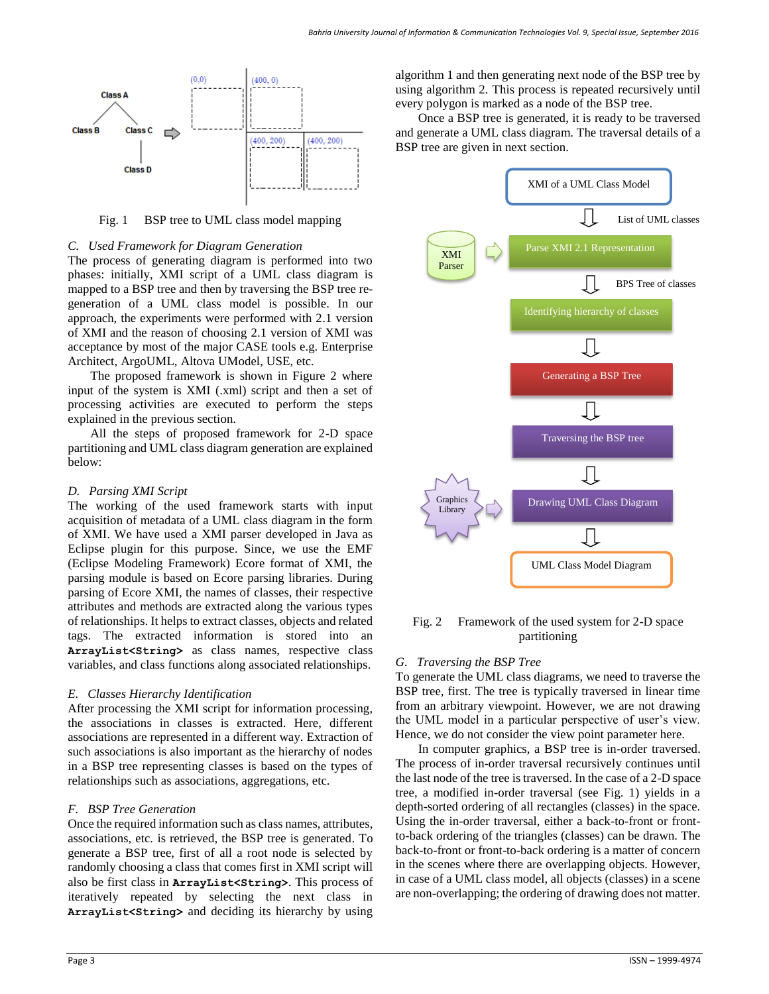

Fig. 1 BSP tree to UML class model mapping

## *C. Used Framework for Diagram Generation*

The process of generating diagram is performed into two phases: initially, XMI script of a UML class diagram is mapped to a BSP tree and then by traversing the BSP tree regeneration of a UML class model is possible. In our approach, the experiments were performed with 2.1 version of XMI and the reason of choosing 2.1 version of XMI was acceptance by most of the major CASE tools e.g. Enterprise Architect, ArgoUML, Altova UModel, USE, etc.

The proposed framework is shown in Figure 2 where input of the system is XMI (.xml) script and then a set of processing activities are executed to perform the steps explained in the previous section.

All the steps of proposed framework for 2-D space partitioning and UML class diagram generation are explained below:

## *D. Parsing XMI Script*

The working of the used framework starts with input acquisition of metadata of a UML class diagram in the form of XMI. We have used a XMI parser developed in Java as Eclipse plugin for this purpose. Since, we use the EMF (Eclipse Modeling Framework) Ecore format of XMI, the parsing module is based on Ecore parsing libraries. During parsing of Ecore XMI, the names of classes, their respective attributes and methods are extracted along the various types of relationships. It helps to extract classes, objects and related tags. The extracted information is stored into an **ArrayList<String>** as class names, respective class variables, and class functions along associated relationships.

#### *E. Classes Hierarchy Identification*

After processing the XMI script for information processing, the associations in classes is extracted. Here, different associations are represented in a different way. Extraction of such associations is also important as the hierarchy of nodes in a BSP tree representing classes is based on the types of relationships such as associations, aggregations, etc.

## *F. BSP Tree Generation*

Once the required information such as class names, attributes, associations, etc. is retrieved, the BSP tree is generated. To generate a BSP tree, first of all a root node is selected by randomly choosing a class that comes first in XMI script will also be first class in **ArrayList<String>**. This process of iteratively repeated by selecting the next class in **ArrayList<String>** and deciding its hierarchy by using algorithm 1 and then generating next node of the BSP tree by using algorithm 2. This process is repeated recursively until every polygon is marked as a node of the BSP tree.

Once a BSP tree is generated, it is ready to be traversed and generate a UML class diagram. The traversal details of a BSP tree are given in next section.



Fig. 2 Framework of the used system for 2-D space partitioning

## *G. Traversing the BSP Tree*

To generate the UML class diagrams, we need to traverse the BSP tree, first. The tree is typically traversed in linear time from an arbitrary viewpoint. However, we are not drawing the UML model in a particular perspective of user's view. Hence, we do not consider the view point parameter here.

In computer graphics, a BSP tree is in-order traversed. The process of in-order traversal recursively continues until the last node of the tree is traversed. In the case of a 2-D space tree, a modified in-order traversal (see Fig. 1) yields in a depth-sorted ordering of all rectangles (classes) in the space. Using the in-order traversal, either a back-to-front or frontto-back ordering of the triangles (classes) can be drawn. The back-to-front or front-to-back ordering is a matter of concern in the scenes where there are overlapping objects. However, in case of a UML class model, all objects (classes) in a scene are non-overlapping; the ordering of drawing does not matter.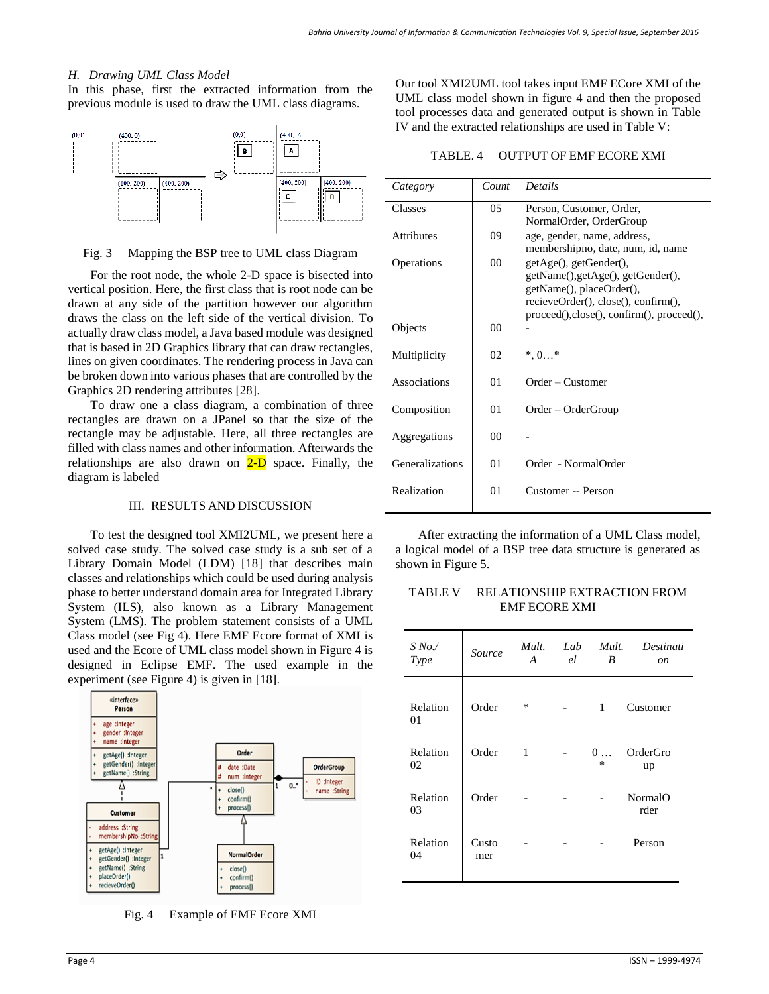## *H. Drawing UML Class Model*

In this phase, first the extracted information from the previous module is used to draw the UML class diagrams.



#### Fig. 3 Mapping the BSP tree to UML class Diagram

For the root node, the whole 2-D space is bisected into vertical position. Here, the first class that is root node can be drawn at any side of the partition however our algorithm draws the class on the left side of the vertical division. To actually draw class model, a Java based module was designed that is based in 2D Graphics library that can draw rectangles, lines on given coordinates. The rendering process in Java can be broken down into various phases that are controlled by the Graphics 2D rendering attributes [28].

To draw one a class diagram, a combination of three rectangles are drawn on a JPanel so that the size of the rectangle may be adjustable. Here, all three rectangles are filled with class names and other information. Afterwards the relationships are also drawn on  $2-D$  space. Finally, the diagram is labeled

#### III. RESULTS AND DISCUSSION

To test the designed tool XMI2UML, we present here a solved case study. The solved case study is a sub set of a Library Domain Model (LDM) [18] that describes main classes and relationships which could be used during analysis phase to better understand domain area for Integrated Library System (ILS), also known as a Library Management System (LMS). The problem statement consists of a UML Class model (see Fig 4). Here EMF Ecore format of XMI is used and the Ecore of UML class model shown in Figure 4 is designed in Eclipse EMF. The used example in the experiment (see Figure 4) is given in [18].



Fig. 4 Example of EMF Ecore XMI

Our tool XMI2UML tool takes input EMF ECore XMI of the UML class model shown in figure 4 and then the proposed tool processes data and generated output is shown in Table IV and the extracted relationships are used in Table V:

TABLE. 4 OUTPUT OF EMF ECORE XMI

| Category          | Count           | <b>Details</b>                                                                                                                                                              |
|-------------------|-----------------|-----------------------------------------------------------------------------------------------------------------------------------------------------------------------------|
| Classes           | $0.5^{\circ}$   | Person, Customer, Order,<br>NormalOrder, OrderGroup                                                                                                                         |
| <b>Attributes</b> | 09              | age, gender, name, address,<br>membershipno, date, num, id, name                                                                                                            |
| Operations        | 00 <sup>1</sup> | getAge(), getGender(),<br>getName(), getAge(), getGender(),<br>getName(), placeOrder(),<br>recieveOrder(), close(), confirm(),<br>proceed(), close(), confirm(), proceed(), |
| Objects           | 0 <sup>0</sup>  |                                                                                                                                                                             |
| Multiplicity      | 02              | $*, 0*$                                                                                                                                                                     |
| Associations      | 01              | Order – Customer                                                                                                                                                            |
| Composition       | 01              | Order – OrderGroup                                                                                                                                                          |
| Aggregations      | 00              |                                                                                                                                                                             |
| Generalizations   | 01              | Order - NormalOrder                                                                                                                                                         |
| Realization       | 01              | Customer -- Person                                                                                                                                                          |

After extracting the information of a UML Class model, a logical model of a BSP tree data structure is generated as shown in Figure 5.

TABLE V RELATIONSHIP EXTRACTION FROM EMF ECORE XMI

| $S N_0$ ./<br>Type | Source       | Mult.<br>A | Lab<br>el | Mult.<br>B           | Destinati<br><sub>on</sub> |
|--------------------|--------------|------------|-----------|----------------------|----------------------------|
| Relation<br>01     | Order        | $\ast$     |           | 1                    | Customer                   |
| Relation<br>02     | Order        | 1          |           | $0 \ldots$<br>$\ast$ | OrderGro<br>up             |
| Relation<br>03     | Order        |            |           |                      | NormalO<br>rder            |
| Relation<br>04     | Custo<br>mer |            |           |                      | Person                     |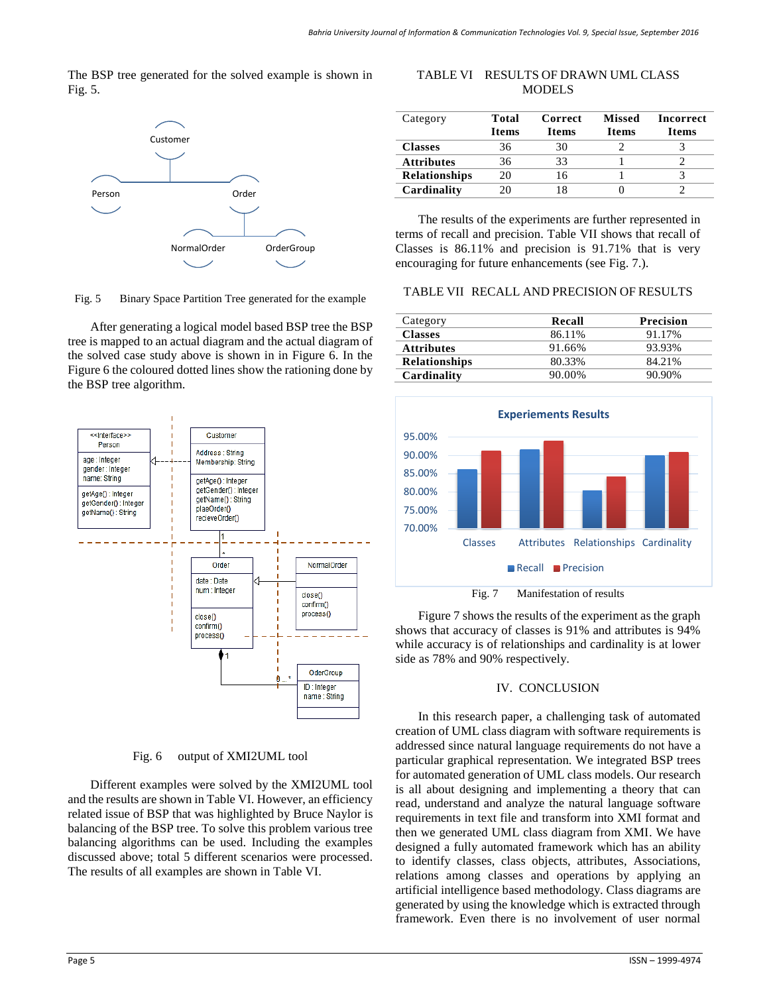The BSP tree generated for the solved example is shown in Fig. 5.



Fig. 5 Binary Space Partition Tree generated for the example

After generating a logical model based BSP tree the BSP tree is mapped to an actual diagram and the actual diagram of the solved case study above is shown in in Figure 6. In the Figure 6 the coloured dotted lines show the rationing done by the BSP tree algorithm.



Fig. 6 output of XMI2UML tool

Different examples were solved by the XMI2UML tool and the results are shown in Table VI. However, an efficiency related issue of BSP that was highlighted by Bruce Naylor is balancing of the BSP tree. To solve this problem various tree balancing algorithms can be used. Including the examples discussed above; total 5 different scenarios were processed. The results of all examples are shown in Table VI.

# TABLE VI RESULTS OF DRAWN UML CLASS **MODELS**

| Category             | Total<br><b>Items</b> | Correct<br><b>Items</b> | <b>Missed</b><br><b>Items</b> | <b>Incorrect</b><br><b>Items</b> |
|----------------------|-----------------------|-------------------------|-------------------------------|----------------------------------|
| <b>Classes</b>       | 36                    | 30                      |                               |                                  |
| <b>Attributes</b>    | 36                    | 33                      |                               |                                  |
| <b>Relationships</b> | 20                    | 16                      |                               |                                  |
| Cardinality          |                       | 18                      |                               |                                  |

The results of the experiments are further represented in terms of recall and precision. Table VII shows that recall of Classes is 86.11% and precision is 91.71% that is very encouraging for future enhancements (see Fig. 7.).

## TABLE VII RECALL AND PRECISION OF RESULTS

| Category             | Recall | <b>Precision</b> |
|----------------------|--------|------------------|
| <b>Classes</b>       | 86.11% | 91.17%           |
| <b>Attributes</b>    | 91.66% | 93.93%           |
| <b>Relationships</b> | 80.33% | 84.21%           |
| Cardinality          | 90.00% | 90.90%           |



Figure 7 shows the results of the experiment as the graph shows that accuracy of classes is 91% and attributes is 94% while accuracy is of relationships and cardinality is at lower side as 78% and 90% respectively.

## IV. CONCLUSION

In this research paper, a challenging task of automated creation of UML class diagram with software requirements is addressed since natural language requirements do not have a particular graphical representation. We integrated BSP trees for automated generation of UML class models. Our research is all about designing and implementing a theory that can read, understand and analyze the natural language software requirements in text file and transform into XMI format and then we generated UML class diagram from XMI. We have designed a fully automated framework which has an ability to identify classes, class objects, attributes, Associations, relations among classes and operations by applying an artificial intelligence based methodology. Class diagrams are generated by using the knowledge which is extracted through framework. Even there is no involvement of user normal